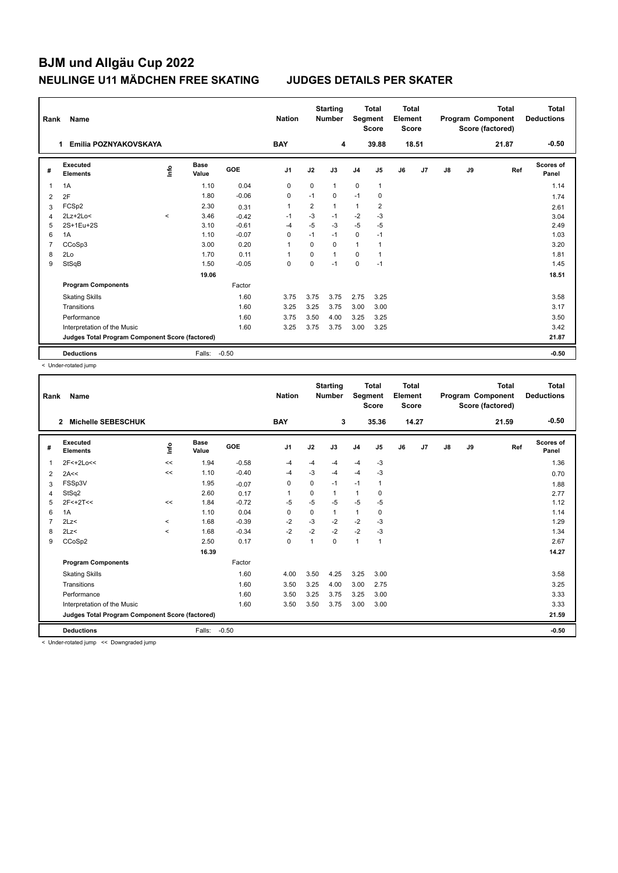## **BJM und Allgäu Cup 2022 NEULINGE U11 MÄDCHEN FREE SKATING JUDGES DETAILS PER SKATER**

| Rank<br>Name   |                                                 |         |                      |            | <b>Nation</b>  |                | <b>Starting</b><br><b>Number</b> | <b>Total</b><br>Segment<br><b>Score</b> |                | Total<br>Element<br><b>Score</b> |       | <b>Total</b><br>Program Component<br>Score (factored) |    |       | <b>Total</b><br><b>Deductions</b> |
|----------------|-------------------------------------------------|---------|----------------------|------------|----------------|----------------|----------------------------------|-----------------------------------------|----------------|----------------------------------|-------|-------------------------------------------------------|----|-------|-----------------------------------|
|                | Emilia POZNYAKOVSKAYA                           |         |                      |            | <b>BAY</b>     |                | 4                                |                                         | 39.88          |                                  | 18.51 |                                                       |    | 21.87 | $-0.50$                           |
| #              | <b>Executed</b><br><b>Elements</b>              | ۴ů      | <b>Base</b><br>Value | <b>GOE</b> | J <sub>1</sub> | J2             | J3                               | J <sub>4</sub>                          | J5             | J6                               | J7    | J8                                                    | J9 | Ref   | Scores of<br>Panel                |
| 1              | 1A                                              |         | 1.10                 | 0.04       | 0              | 0              | $\mathbf{1}$                     | $\mathbf 0$                             | $\mathbf{1}$   |                                  |       |                                                       |    |       | 1.14                              |
| 2              | 2F                                              |         | 1.80                 | $-0.06$    | $\mathbf 0$    | $-1$           | $\mathbf 0$                      | $-1$                                    | $\mathbf 0$    |                                  |       |                                                       |    |       | 1.74                              |
| 3              | FCSp2                                           |         | 2.30                 | 0.31       | $\mathbf{1}$   | $\overline{2}$ | $\mathbf{1}$                     | $\mathbf{1}$                            | $\overline{2}$ |                                  |       |                                                       |    |       | 2.61                              |
| 4              | $2Lz+2Lo<$                                      | $\prec$ | 3.46                 | $-0.42$    | $-1$           | $-3$           | $-1$                             | $-2$                                    | $-3$           |                                  |       |                                                       |    |       | 3.04                              |
| 5              | 2S+1Eu+2S                                       |         | 3.10                 | $-0.61$    | $-4$           | $-5$           | -3                               | $-5$                                    | $-5$           |                                  |       |                                                       |    |       | 2.49                              |
| 6              | 1A                                              |         | 1.10                 | $-0.07$    | $\Omega$       | $-1$           | $-1$                             | 0                                       | $-1$           |                                  |       |                                                       |    |       | 1.03                              |
| $\overline{7}$ | CCoSp3                                          |         | 3.00                 | 0.20       | $\overline{1}$ | $\Omega$       | 0                                | $\mathbf{1}$                            | $\mathbf{1}$   |                                  |       |                                                       |    |       | 3.20                              |
| 8              | 2Lo                                             |         | 1.70                 | 0.11       | -1             | $\Omega$       | $\mathbf{1}$                     | 0                                       | $\overline{1}$ |                                  |       |                                                       |    |       | 1.81                              |
| 9              | StSqB                                           |         | 1.50                 | $-0.05$    | $\Omega$       | $\Omega$       | $-1$                             | $\mathbf 0$                             | $-1$           |                                  |       |                                                       |    |       | 1.45                              |
|                |                                                 |         | 19.06                |            |                |                |                                  |                                         |                |                                  |       |                                                       |    |       | 18.51                             |
|                | <b>Program Components</b>                       |         |                      | Factor     |                |                |                                  |                                         |                |                                  |       |                                                       |    |       |                                   |
|                | <b>Skating Skills</b>                           |         |                      | 1.60       | 3.75           | 3.75           | 3.75                             | 2.75                                    | 3.25           |                                  |       |                                                       |    |       | 3.58                              |
|                | Transitions                                     |         |                      | 1.60       | 3.25           | 3.25           | 3.75                             | 3.00                                    | 3.00           |                                  |       |                                                       |    |       | 3.17                              |
|                | Performance                                     |         |                      | 1.60       | 3.75           | 3.50           | 4.00                             | 3.25                                    | 3.25           |                                  |       |                                                       |    |       | 3.50                              |
|                | Interpretation of the Music                     |         |                      | 1.60       | 3.25           | 3.75           | 3.75                             | 3.00                                    | 3.25           |                                  |       |                                                       |    |       | 3.42                              |
|                | Judges Total Program Component Score (factored) |         |                      |            |                |                |                                  |                                         |                |                                  |       |                                                       |    |       | 21.87                             |
|                | <b>Deductions</b>                               |         | Falls:               | $-0.50$    |                |                |                                  |                                         |                |                                  |       |                                                       |    |       | $-0.50$                           |

< Under-rotated jump

| Rank                                            | Name                               |          |                      |         | <b>Nation</b>  |              | <b>Starting</b><br><b>Number</b> | Segment        | <b>Total</b><br><b>Score</b> | <b>Total</b><br>Element<br><b>Score</b> |       |               |    | <b>Total</b><br>Program Component<br>Score (factored) | <b>Total</b><br><b>Deductions</b> |
|-------------------------------------------------|------------------------------------|----------|----------------------|---------|----------------|--------------|----------------------------------|----------------|------------------------------|-----------------------------------------|-------|---------------|----|-------------------------------------------------------|-----------------------------------|
|                                                 | Michelle SEBESCHUK<br>$\mathbf{2}$ |          |                      |         | <b>BAY</b>     |              | 3                                |                | 35.36                        |                                         | 14.27 |               |    | 21.59                                                 | $-0.50$                           |
| #                                               | Executed<br><b>Elements</b>        | Info     | <b>Base</b><br>Value | GOE     | J <sub>1</sub> | J2           | J3                               | J <sub>4</sub> | J <sub>5</sub>               | J6                                      | J7    | $\mathsf{J}8$ | J9 | Ref                                                   | <b>Scores of</b><br>Panel         |
| 1                                               | 2F<+2Lo<<                          | <<       | 1.94                 | $-0.58$ | $-4$           | $-4$         | $-4$                             | $-4$           | -3                           |                                         |       |               |    |                                                       | 1.36                              |
| 2                                               | 2A<<                               | <<       | 1.10                 | $-0.40$ | -4             | -3           | $-4$                             | $-4$           | -3                           |                                         |       |               |    |                                                       | 0.70                              |
| 3                                               | FSSp3V                             |          | 1.95                 | $-0.07$ | 0              | 0            | $-1$                             | $-1$           | 1                            |                                         |       |               |    |                                                       | 1.88                              |
| 4                                               | StSq2                              |          | 2.60                 | 0.17    |                | 0            | 1                                | $\mathbf{1}$   | 0                            |                                         |       |               |    |                                                       | 2.77                              |
| 5                                               | 2F<+2T<<                           | <<       | 1.84                 | $-0.72$ | -5             | $-5$         | $-5$                             | $-5$           | $-5$                         |                                         |       |               |    |                                                       | 1.12                              |
| 6                                               | 1A                                 |          | 1.10                 | 0.04    | 0              | 0            | 1                                | 1              | 0                            |                                         |       |               |    |                                                       | 1.14                              |
|                                                 | 2Lz                                | $\prec$  | 1.68                 | $-0.39$ | $-2$           | -3           | $-2$                             | $-2$           | -3                           |                                         |       |               |    |                                                       | 1.29                              |
| 8                                               | 2Lz                                | $\hat{}$ | 1.68                 | $-0.34$ | $-2$           | $-2$         | $-2$                             | $-2$           | $-3$                         |                                         |       |               |    |                                                       | 1.34                              |
| 9                                               | CCoSp2                             |          | 2.50                 | 0.17    | 0              | $\mathbf{1}$ | $\Omega$                         | $\mathbf{1}$   | 1                            |                                         |       |               |    |                                                       | 2.67                              |
|                                                 |                                    |          | 16.39                |         |                |              |                                  |                |                              |                                         |       |               |    |                                                       | 14.27                             |
|                                                 | <b>Program Components</b>          |          |                      | Factor  |                |              |                                  |                |                              |                                         |       |               |    |                                                       |                                   |
|                                                 | <b>Skating Skills</b>              |          |                      | 1.60    | 4.00           | 3.50         | 4.25                             | 3.25           | 3.00                         |                                         |       |               |    |                                                       | 3.58                              |
|                                                 | Transitions                        |          |                      | 1.60    | 3.50           | 3.25         | 4.00                             | 3.00           | 2.75                         |                                         |       |               |    |                                                       | 3.25                              |
|                                                 | Performance                        |          |                      | 1.60    | 3.50           | 3.25         | 3.75                             | 3.25           | 3.00                         |                                         |       |               |    |                                                       | 3.33                              |
|                                                 | Interpretation of the Music        |          |                      | 1.60    | 3.50           | 3.50         | 3.75                             | 3.00           | 3.00                         |                                         |       |               |    |                                                       | 3.33                              |
| Judges Total Program Component Score (factored) |                                    |          |                      |         |                |              |                                  |                |                              |                                         |       | 21.59         |    |                                                       |                                   |
|                                                 | <b>Deductions</b>                  |          | Falls:               | $-0.50$ |                |              |                                  |                |                              |                                         |       |               |    |                                                       | $-0.50$                           |

< Under-rotated jump << Downgraded jump